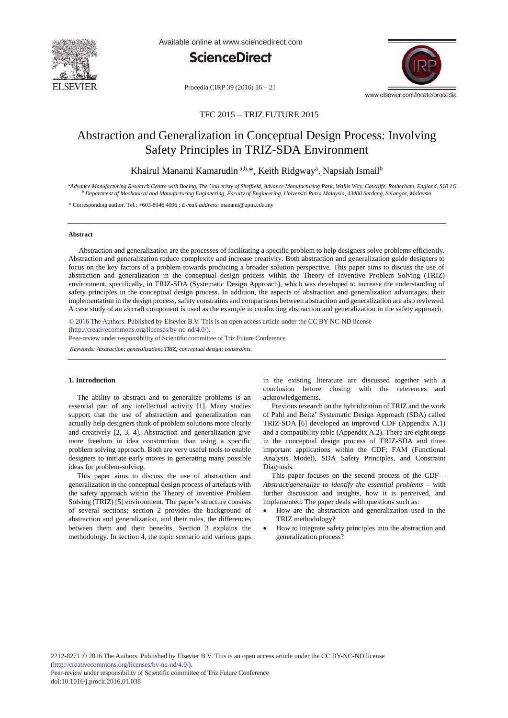

Available online at www.sciencedirect.com



Procedia CIRP 39 (2016) 16 - 21



# TFC 2015 – TRIZ FUTURE 2015

# Abstraction and Generalization in Conceptual Design Process: Involving Safety Principles in TRIZ-SDA Environment

# Khairul Manami Kamarudin<sup>a,b,\*</sup>, Keith Ridgway<sup>a</sup>, Napsiah Ismail<sup>b</sup>

<sup>a</sup>Advance Manufacturing Research Centre with Boeing, The Univeristy of Sheffield, Advance Manufacturing Park, Wallis Way, Catcliffe, Rotherham, England, S10 1G. *<sup>b</sup> Department of Mechanical and Manufacturing Engineering, Faculty of Engineering, Universiti Putra Malaysia, 43400 Serdang, Selangor, Malaysia* 

\* Corresponding author. Tel.: +603-8946 4096 ; *E-mail address:* manami@upm.edu.my

#### **Abstract**

Abstraction and generalization are the processes of facilitating a specific problem to help designers solve problems efficiently. Abstraction and generalization reduce complexity and increase creativity. Both abstraction and generalization guide designers to focus on the key factors of a problem towards producing a broader solution perspective. This paper aims to discuss the use of abstraction and generalization in the conceptual design process within the Theory of Inventive Problem Solving (TRIZ) environment, specifically, in TRIZ-SDA (Systematic Design Approach), which was developed to increase the understanding of safety principles in the conceptual design process. In addition, the aspects of abstraction and generalization advantages, their implementation in the design process, safety constraints and comparisons between abstraction and generalization are also reviewed. A case study of an aircraft component is used as the example in conducting abstraction and generalization in the safety approach.

© 2015 The Authors. Published by Elsevier B.V. (http://creativecommons.org/licenses/by-nc-nd/4.0/). © 2016 The Authors. Published by Elsevier B.V. This is an open access article under the CC BY-NC-ND license

Peer-review under responsibility of scientific committee of Triz Future Conference. Peer-review under responsibility of Scientifi c committee of Triz Future Conference

*Keywords: Abstraction; generalization; TRIZ; conceptual design; constraints.*

#### **1. Introduction**

The ability to abstract and to generalize problems is an essential part of any intellectual activity [1]. Many studies support that the use of abstraction and generalization can actually help designers think of problem solutions more clearly and creatively [2, 3, 4]. Abstraction and generalization give more freedom in idea construction than using a specific problem solving approach. Both are very useful tools to enable designers to initiate early moves in generating many possible ideas for problem-solving.

This paper aims to discuss the use of abstraction and generalization in the conceptual design process of artefacts with the safety approach within the Theory of Inventive Problem Solving (TRIZ) [5] environment. The paper's structure consists of several sections; section 2 provides the background of abstraction and generalization, and their roles, the differences between them and their benefits. Section 3 explains the methodology. In section 4, the topic scenario and various gaps

in the existing literature are discussed together with a conclusion before closing with the references and acknowledgements.

Previous research on the hybridization of TRIZ and the work of Pahl and Beitz' Systematic Design Approach (SDA) called TRIZ-SDA [6] developed an improved CDF (Appendix A.1) and a compatibility table (Appendix A.2). There are eight steps in the conceptual design process of TRIZ-SDA and three important applications within the CDF; FAM (Functional Analysis Model), SDA Safety Principles, and Constraint Diagnosis.

This paper focuses on the second process of the CDF – *Abstract/generalize to identify the essential problems* – with further discussion and insights, how it is perceived, and implemented. The paper deals with questions such as:

- How are the abstraction and generalization used in the TRIZ methodology?
- How to integrate safety principles into the abstraction and generalization process?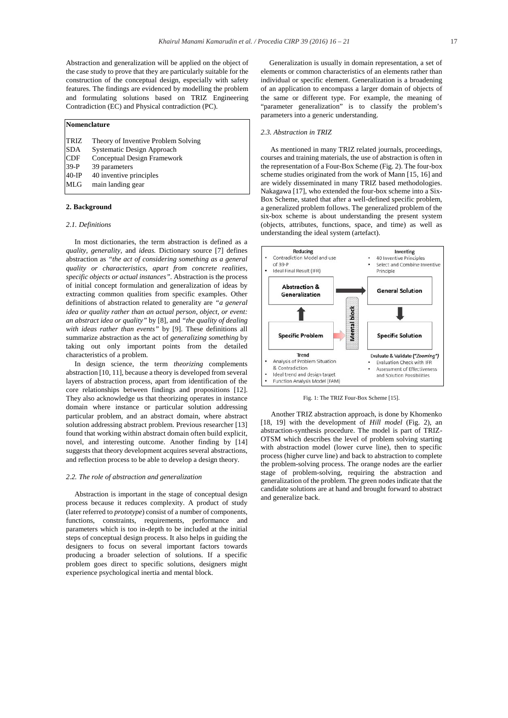Abstraction and generalization will be applied on the object of the case study to prove that they are particularly suitable for the construction of the conceptual design, especially with safety features. The findings are evidenced by modelling the problem and formulating solutions based on TRIZ Engineering Contradiction (EC) and Physical contradiction (PC).

# **Nomenclature**

| TRIZ       | Theory of Inventive Problem Solving |
|------------|-------------------------------------|
| <b>SDA</b> | Systematic Design Approach          |
| CDF        | Conceptual Design Framework         |
| $39-P$     | 39 parameters                       |
| $40$ -IP   | 40 inventive principles             |
| <b>MLG</b> | main landing gear                   |
|            |                                     |

#### **2. Background**

#### *2.1. Definitions*

In most dictionaries, the term abstraction is defined as a *quality, generality,* and *ideas.* Dictionary source [7] defines abstraction as *"the act of considering something as a general quality or characteristics, apart from concrete realities, specific objects or actual instances".* Abstraction is the process of initial concept formulation and generalization of ideas by extracting common qualities from specific examples. Other definitions of abstraction related to generality are *"a general idea or quality rather than an actual person, object, or event: an abstract idea or quality"* by [8], and *"the quality of dealing with ideas rather than events"* by [9]. These definitions all summarize abstraction as the act of *generalizing something* by taking out only important points from the detailed characteristics of a problem.

In design science, the term *theorizing* complements abstraction [10, 11], because a theory is developed from several layers of abstraction process, apart from identification of the core relationships between findings and propositions [12]. They also acknowledge us that theorizing operates in instance domain where instance or particular solution addressing particular problem, and an abstract domain, where abstract solution addressing abstract problem. Previous researcher [13] found that working within abstract domain often build explicit, novel, and interesting outcome. Another finding by [14] suggests that theory development acquires several abstractions, and reflection process to be able to develop a design theory.

#### *2.2. The role of abstraction and generalization*

Abstraction is important in the stage of conceptual design process because it reduces complexity. A product of study (later referred to *prototype*) consist of a number of components, functions, constraints, requirements, performance and parameters which is too in-depth to be included at the initial steps of conceptual design process. It also helps in guiding the designers to focus on several important factors towards producing a broader selection of solutions. If a specific problem goes direct to specific solutions, designers might experience psychological inertia and mental block.

Generalization is usually in domain representation, a set of elements or common characteristics of an elements rather than individual or specific element. Generalization is a broadening of an application to encompass a larger domain of objects of the same or different type. For example, the meaning of "parameter generalization" is to classify the problem's parameters into a generic understanding.

#### *2.3. Abstraction in TRIZ*

As mentioned in many TRIZ related journals, proceedings, courses and training materials, the use of abstraction is often in the representation of a Four-Box Scheme (Fig. 2). The four-box scheme studies originated from the work of Mann [15, 16] and are widely disseminated in many TRIZ based methodologies. Nakagawa [17], who extended the four-box scheme into a Six-Box Scheme, stated that after a well-defined specific problem, a generalized problem follows. The generalized problem of the six-box scheme is about understanding the present system (objects, attributes, functions, space, and time) as well as understanding the ideal system (artefact).



Fig. 1: The TRIZ Four-Box Scheme [15].

Another TRIZ abstraction approach, is done by Khomenko [18, 19] with the development of *Hill model* (Fig. 2), an abstraction-synthesis procedure. The model is part of TRIZ-OTSM which describes the level of problem solving starting with abstraction model (lower curve line), then to specific process (higher curve line) and back to abstraction to complete the problem-solving process. The orange nodes are the earlier stage of problem-solving, requiring the abstraction and generalization of the problem. The green nodes indicate that the candidate solutions are at hand and brought forward to abstract and generalize back.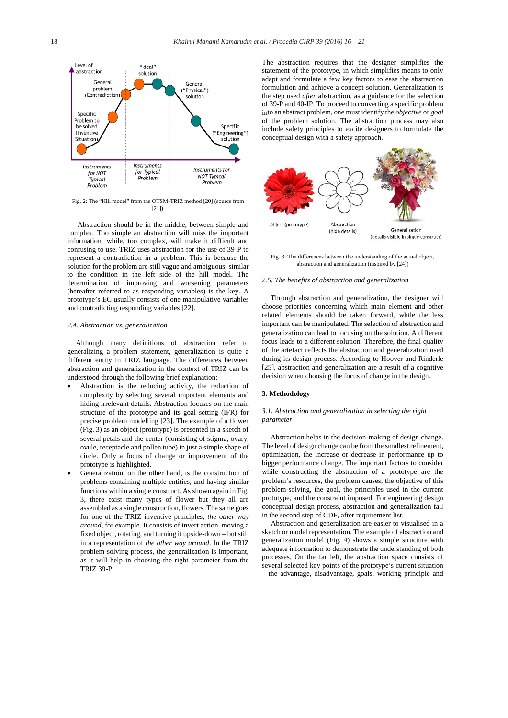

Fig. 2: The "Hill model" from the OTSM-TRIZ method [20] (source from  $[21]$ ).

Abstraction should be in the middle, between simple and complex. Too simple an abstraction will miss the important information, while, too complex, will make it difficult and confusing to use. TRIZ uses abstraction for the use of 39-P to represent a contradiction in a problem. This is because the solution for the problem are still vague and ambiguous, similar to the condition in the left side of the hill model. The determination of improving and worsening parameters (hereafter referred to as responding variables) is the key. A prototype's EC usually consists of one manipulative variables and contradicting responding variables [22].

#### *2.4. Abstraction vs. generalization*

Although many definitions of abstraction refer to generalizing a problem statement, generalization is quite a different entity in TRIZ language. The differences between abstraction and generalization in the context of TRIZ can be understood through the following brief explanation:

- Abstraction is the reducing activity, the reduction of complexity by selecting several important elements and hiding irrelevant details. Abstraction focuses on the main structure of the prototype and its goal setting (IFR) for precise problem modelling [23]. The example of a flower (Fig. 3) as an object (prototype) is presented in a sketch of several petals and the center (consisting of stigma, ovary, ovule, receptacle and pollen tube) in just a simple shape of circle. Only a focus of change or improvement of the prototype is highlighted.
- Generalization, on the other hand, is the construction of problems containing multiple entities, and having similar functions within a single construct. As shown again in Fig. 3, there exist many types of flower but they all are assembled as a single construction, flowers. The same goes for one of the TRIZ inventive principles, *the other way around*, for example. It consists of invert action, moving a fixed object, rotating, and turning it upside-down – but still in a representation of *the other way around*. In the TRIZ problem-solving process, the generalization is important, as it will help in choosing the right parameter from the TRIZ 39-P.

The abstraction requires that the designer simplifies the statement of the prototype, in which simplifies means to only adapt and formulate a few key factors to ease the abstraction formulation and achieve a concept solution. Generalization is the step used *after* abstraction, as a guidance for the selection of 39-P and 40-IP. To proceed to converting a specific problem into an abstract problem, one must identify the *objective* or *goal*  of the problem solution. The abstraction process may also include safety principles to excite designers to formulate the conceptual design with a safety approach.



Fig. 3: The differences between the understanding of the actual object, abstraction and generalization (inspired by [24])

#### *2.5. The benefits of abstraction and generalization*

Through abstraction and generalization, the designer will choose priorities concerning which main element and other related elements should be taken forward, while the less important can be manipulated. The selection of abstraction and generalization can lead to focusing on the solution. A different focus leads to a different solution. Therefore, the final quality of the artefact reflects the abstraction and generalization used during its design process. According to Hoover and Rinderle [25], abstraction and generalization are a result of a cognitive decision when choosing the focus of change in the design.

#### **3. Methodology**

# *3.1. Abstraction and generalization in selecting the right parameter*

Abstraction helps in the decision-making of design change. The level of design change can be from the smallest refinement, optimization, the increase or decrease in performance up to bigger performance change. The important factors to consider while constructing the abstraction of a prototype are the problem's resources, the problem causes, the objective of this problem-solving, the goal, the principles used in the current prototype, and the constraint imposed. For engineering design conceptual design process, abstraction and generalization fall in the second step of CDF, after requirement list.

Abstraction and generalization are easier to visualised in a sketch or model representation. The example of abstraction and generalization model (Fig. 4) shows a simple structure with adequate information to demonstrate the understanding of both processes. On the far left, the abstraction space consists of several selected key points of the prototype's current situation – the advantage, disadvantage, goals, working principle and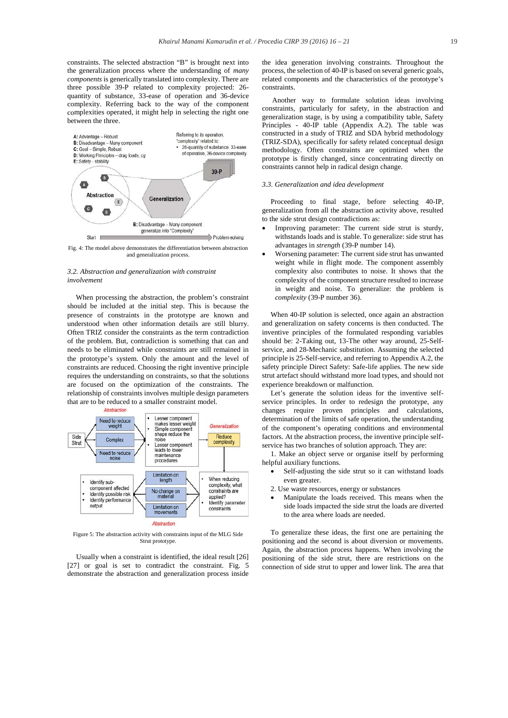constraints. The selected abstraction "B" is brought next into the generalization process where the understanding of *many components* is generically translated into complexity. There are three possible 39-P related to complexity projected: 26 quantity of substance, 33-ease of operation and 36-device complexity. Referring back to the way of the component complexities operated, it might help in selecting the right one between the three.



Fig. 4: The model above demonstrates the differentiation between abstraction and generalization process.

# *3.2. Abstraction and generalization with constraint involvement*

When processing the abstraction, the problem's constraint should be included at the initial step. This is because the presence of constraints in the prototype are known and understood when other information details are still blurry. Often TRIZ consider the constraints as the term contradiction of the problem. But, contradiction is something that can and needs to be eliminated while constraints are still remained in the prototype's system. Only the amount and the level of constraints are reduced. Choosing the right inventive principle requires the understanding on constraints, so that the solutions are focused on the optimization of the constraints. The relationship of constraints involves multiple design parameters that are to be reduced to a smaller constraint model.



Figure 5: The abstraction activity with constraints input of the MLG Side Strut prototype.

Usually when a constraint is identified, the ideal result [26] [27] or goal is set to contradict the constraint. Fig. 5 demonstrate the abstraction and generalization process inside

the idea generation involving constraints. Throughout the process, the selection of 40-IP is based on several generic goals, related components and the characteristics of the prototype's constraints.

Another way to formulate solution ideas involving constraints, particularly for safety, in the abstraction and generalization stage, is by using a compatibility table, Safety Principles - 40-IP table (Appendix A.2). The table was constructed in a study of TRIZ and SDA hybrid methodology (TRIZ-SDA), specifically for safety related conceptual design methodology. Often constraints are optimized when the prototype is firstly changed, since concentrating directly on constraints cannot help in radical design change.

# *3.3. Generalization and idea development*

Proceeding to final stage, before selecting 40-IP, generalization from all the abstraction activity above, resulted to the side strut design contradictions as:

- Improving parameter: The current side strut is sturdy, withstands loads and is stable. To generalize: side strut has advantages in *strength* (39-P number 14).
- x Worsening parameter: The current side strut has unwanted weight while in flight mode. The component assembly complexity also contributes to noise. It shows that the complexity of the component structure resulted to increase in weight and noise. To generalize: the problem is *complexity* (39-P number 36).

When 40-IP solution is selected, once again an abstraction and generalization on safety concerns is then conducted. The inventive principles of the formulated responding variables should be: 2-Taking out, 13-The other way around, 25-Selfservice, and 28-Mechanic substitution. Assuming the selected principle is 25-Self-service, and referring to Appendix A.2, the safety principle Direct Safety: Safe-life applies. The new side strut artefact should withstand more load types, and should not experience breakdown or malfunction.

Let's generate the solution ideas for the inventive selfservice principles. In order to redesign the prototype, any changes require proven principles and calculations, determination of the limits of safe operation, the understanding of the component's operating conditions and environmental factors. At the abstraction process, the inventive principle selfservice has two branches of solution approach. They are:

1. Make an object serve or organise itself by performing helpful auxiliary functions.

- x Self-adjusting the side strut so it can withstand loads even greater.
- 2. Use waste resources, energy or substances
- Manipulate the loads received. This means when the side loads impacted the side strut the loads are diverted to the area where loads are needed.

To generalize these ideas, the first one are pertaining the positioning and the second is about diversion or movements. Again, the abstraction process happens. When involving the positioning of the side strut, there are restrictions on the connection of side strut to upper and lower link. The area that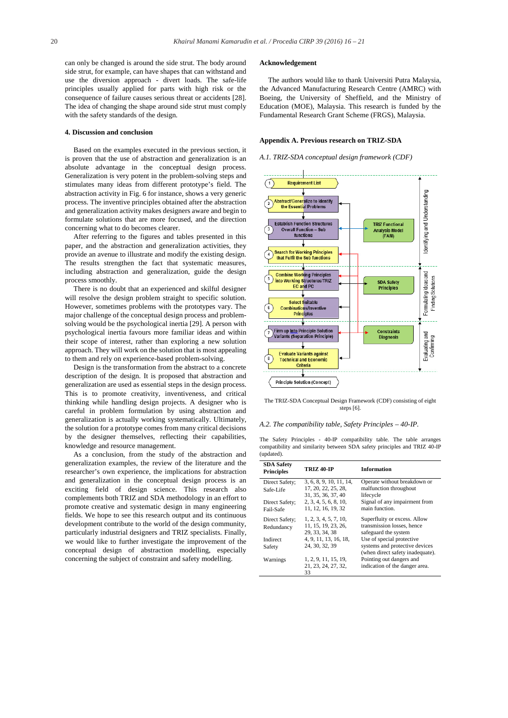can only be changed is around the side strut. The body around side strut, for example, can have shapes that can withstand and use the diversion approach - divert loads. The safe-life principles usually applied for parts with high risk or the consequence of failure causes serious threat or accidents [28]. The idea of changing the shape around side strut must comply with the safety standards of the design.

#### **4. Discussion and conclusion**

Based on the examples executed in the previous section, it is proven that the use of abstraction and generalization is an absolute advantage in the conceptual design process. Generalization is very potent in the problem-solving steps and stimulates many ideas from different prototype's field. The abstraction activity in Fig. 6 for instance, shows a very generic process. The inventive principles obtained after the abstraction and generalization activity makes designers aware and begin to formulate solutions that are more focused, and the direction concerning what to do becomes clearer.

After referring to the figures and tables presented in this paper, and the abstraction and generalization activities, they provide an avenue to illustrate and modify the existing design. The results strengthen the fact that systematic measures, including abstraction and generalization, guide the design process smoothly.

There is no doubt that an experienced and skilful designer will resolve the design problem straight to specific solution. However, sometimes problems with the prototypes vary. The major challenge of the conceptual design process and problemsolving would be the psychological inertia [29]. A person with psychological inertia favours more familiar ideas and within their scope of interest, rather than exploring a new solution approach. They will work on the solution that is most appealing to them and rely on experience-based problem-solving.

Design is the transformation from the abstract to a concrete description of the design. It is proposed that abstraction and generalization are used as essential steps in the design process. This is to promote creativity, inventiveness, and critical thinking while handling design projects. A designer who is careful in problem formulation by using abstraction and generalization is actually working systematically. Ultimately, the solution for a prototype comes from many critical decisions by the designer themselves, reflecting their capabilities, knowledge and resource management.

As a conclusion, from the study of the abstraction and generalization examples, the review of the literature and the researcher's own experience, the implications for abstraction and generalization in the conceptual design process is an exciting field of design science. This research also complements both TRIZ and SDA methodology in an effort to promote creative and systematic design in many engineering fields. We hope to see this research output and its continuous development contribute to the world of the design community, particularly industrial designers and TRIZ specialists. Finally, we would like to further investigate the improvement of the conceptual design of abstraction modelling, especially concerning the subject of constraint and safety modelling.

# **Acknowledgement**

The authors would like to thank Universiti Putra Malaysia, the Advanced Manufacturing Research Centre (AMRC) with Boeing, the University of Sheffield, and the Ministry of Education (MOE), Malaysia. This research is funded by the Fundamental Research Grant Scheme (FRGS), Malaysia.

### **Appendix A. Previous research on TRIZ-SDA**

#### *A.1. TRIZ-SDA conceptual design framework (CDF)*



The TRIZ-SDA Conceptual Design Framework (CDF) consisting of eight steps [6].

# *A.2. The compatibility table, Safety Principles – 40-IP.*

The Safety Principles - 40-IP compatibility table. The table arranges compatibility and similarity between SDA safety principles and TRIZ 40-IP (updated).

| <b>SDA Safety</b><br><b>Principles</b> | <b>TRIZ 40-IP</b>       | <b>Information</b>               |
|----------------------------------------|-------------------------|----------------------------------|
| Direct Safety;                         | 3, 6, 8, 9, 10, 11, 14, | Operate without breakdown or     |
| Safe-Life                              | 17, 20, 22, 25, 28,     | malfunction throughout           |
|                                        | 31, 35, 36, 37, 40      | lifecycle                        |
| Direct Safety;                         | 2, 3, 4, 5, 6, 8, 10,   | Signal of any impairment from    |
| Fail-Safe                              | 11, 12, 16, 19, 32      | main function.                   |
| Direct Safety:                         | 1, 2, 3, 4, 5, 7, 10,   | Superfluity or excess. Allow     |
| Redundancy                             | 11, 15, 19, 23, 26,     | transmission losses, hence       |
|                                        | 29, 33, 34, 38          | safeguard the system             |
| Indirect                               | 4, 9, 11, 13, 16, 18,   | Use of special protective        |
| Safety                                 | 24, 30, 32, 39          | systems and protective devices   |
|                                        |                         | (when direct safety inadequate). |
| Warnings                               | 1, 2, 9, 11, 15, 19,    | Pointing out dangers and         |
|                                        | 21, 23, 24, 27, 32,     | indication of the danger area.   |
|                                        | 33                      |                                  |